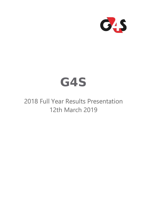

# **G4S**

2018 Full Year Results Presentation 12th March 2019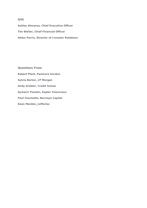### **G4S**

**Ashley Almanza, Chief Executive Officer Tim Weller, Chief Financial Officer Helen Parris, Director of Investor Relations**

**Questions From Robert Plant, Panmure Gordon Sylvia Barker, JP Morgan Andy Grobler, Credit Suisse Aymeric Poulain, Kepler Cheuvreux Paul Checketts, Barclays Capital Kean Marden, Jefferies**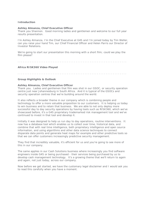#### *Introduction*

#### **Ashley Almanza, Chief Executive Officer**

Thank you Shannon. Good morning ladies and gentlemen and welcome to our full year results presentation.

I'm Ashley Almanza, I'm the Chief Executive at G4S and I'm joined today by Tim Weller, can you raise your hand Tim, our Chief Financial Officer and Helen Parris our Director of Investor Relations.

We're going to start our presentation this morning with a short film; could we play the film please?

. . . . . . . . . . . . . . . . . . . . . . . . . . . . . . . . . . . . . . . . . . . . . . . . . . . . . . . . . . . . . .

#### *Africa RISK360 Video Played*

. . . . . . . . . . . . . . . . . . . . . . . . . . . . . . . . . . . . . . . . . . . . . . . . . . . . . . . . . . . . . .

#### *Group Highlights & Outlook*

#### **Ashley Almanza, Chief Executive Officer**

Thank you. Ladies and gentlemen that film was shot in our GSOC, or security operation centre just near Johannesburg in South Africa. And it is typical of the GSOCs and security operation centres that we're building around the world.

It also reflects a broader theme in our company which is combining people and technology to offer a more valuable proposition to our customers. It is helping us today to win business and to retain that business. We are able to not only deploy more successful day to day security operations by having tools such as RISK360, which we've showcased before, it's a G4S proprietary trademarked risk management tool and we've continued to invest in that tool and develop it.

Initially it was designed to help us run day to day operations, routine interventions. It now has a database tool which enables us to collect over time, historical data, and combine that with real time intelligence, both proprietary intelligence and open source information, and using algorithms and other data science techniques to connect disparate data points and generate heat maps for example and other predictive tools so that we can offer customers increasingly predictive security management.

They find that incredibly valuable, it's efficient for us and you're going to see more of this in our company.

The same applies in our Cash Solutions business where increasingly you find software engineers inside G4S or being purchased - their services being purchased by us to develop cash management technology. It's a growing theme that we'll return to again and again, not just today, across our company.

Now before we get started, we have the customary legal disclaimer and I would ask you to read this carefully when you have a moment.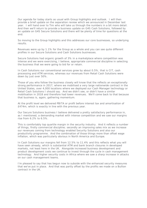Our agenda for today starts as usual with Group highlights and outlook. I will then provide a brief update on the separation review which we announced in December last year. I will hand over to Tim who will take us through the numbers in a bit more detail. And then we'll return to provide a business update on G4S Cash Solutions, followed by an update on G4S Secure Solutions and there will be plenty of time for questions at the end.

So moving to the Group highlights and this addresses our core businesses, so underlying results.

Revenues were up by 1.1% for the Group as a whole and you can see quite different profiles in our Secure Solutions and Cash Solutions businesses.

Secure Solutions had organic growth of 3% in a marketplace where competition was intense and we were exercising, I believe, appropriate commercial discipline in selecting the business that we were going to bid for or retain.

In Cash Solutions our conventional services grew by about 0.5%, that is CIT, cash processing and ATM services, whereas our revenues from Retail Cash Solutions were down by just over 50%.

Those of you who follow the business closely will know that the reflects an exceptionally strong performance in 2017, where we mobilised a very large nationwide contract in the United States, over 4,000 locations where we deployed our Cash Manager technology or Retail Cash Solutions I should say. And we didn't see, or didn't have a similar mobilisation in 2018 and therefore had lower revenues. We'll come back to that because that business is, again, gathering momentum.

At the profit level we delivered PBITA or profit before interest tax and amortisation of £474m, which is exactly in line with the previous year.

Our Secure Solutions business I believe delivered a pretty satisfactory performance in, as I mentioned, a demanding market with intense competition and we saw our margins rise from 6.2% to 6.5%.

This is comfortably top quartile margin in the security industry. And it reflects a number of things, firstly commercial discipline; secondly an improving sales mix as we increase our revenues coming from technology enabled Security Solutions and also our productivity programme. And the combination of those things more than offset wage inflation, which was particularly obvious in North America and Europe.

In Cash Solutions our margins fell from 12.5% to 11.4% and this reflects what you will have seen already, which is substantial ATM and bank branch closures in developed markets, not least here in the UK. Alongside increased business development and product development costs we continue to invest through the cycle in cash management technology. And higher security costs in Africa where we saw a sharp increase in attacks on our cash management teams.

I'm pleased to say that has begun now to subside with the enhanced security measures that we've put in place. And that was partly offset by the profits we made on a Bullion contract in the UK.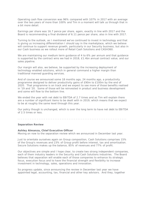Operating cash flow conversion was 96% compared with 107% in 2017 with an average over the two years of more than 100% and Tim in a moment will talk us through that in a bit more detail.

Earnings per share was 16.7 pence per share, again, exactly in line with 2017 and the Board is recommending a final dividend of 6.11 pence per share, also in line with 2017.

Turning to the outlook, as I mentioned we've continued to invest in technology and that is giving us increasing differentiation I should say in the marketplace, which we believe will continue to support revenue growth, particularly in our Security business, but also in our Cash business as we rollout more of Retail Cash Solutions and CASH360.

We are maintaining our medium term guidance of 4 to 6% per annum and that guidance is supported by the contract wins we had in 2018, £1.4bn annual contract value, and our sales pipeline.

Our margin will also, we believe, be supported by the increasing deployment of technology enabled solutions, which in general command a higher margin than traditional manned guarding services.

And of course we announced some 18 months ago, 24 months ago, a productivity programme designed to deliver productivity gains of £90m to £100m by the end of 2020. That programme is on track and we expect to see more of those benefits realised in '19 and '20. Some of those will be reinvested in product and business development and some will flow to the bottom line.

We ended the year with net debt to EBITDA of 2.7 times and as Tim will explain there are a number of significant items to be dealt with in 2019, which means that we expect to be at roughly the same level through this year.

Our policy though is unchanged, which is over the long term to have net debt to EBITDA of 2.5 times or less.

#### *Separation Review*

#### **Ashley Almanza, Chief Executive Officer**

Moving on now to the separation review which we announced in December last year.

Just to orientate ourselves again on Group composition, Cash Solutions comprises 15% of the Group's revenues and 23% of Group profit before interest, tax and amortisation. Secure Solutions makes up the balance, 85% of revenues and 77% of profit.

Our objectives are simple and I hope clear, to create two strong independent companies, each of them industry leaders in the Security and Cash Solutions industries. The Board believes that separation will enable each of those companies to enhance its strategic focus, execution focus and to have the financial strength and flexibility to increase investment in technology, sales, operations and innovation.

So progress update, since announcing the review in December last year we have appointed legal, accounting, tax, financial and other key advisors. And they, together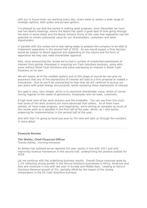with our in house team are working every day, every week to assess a wide range of strategic options, both public and private options.

I'm pleased to say that the review is making good progress, since December we have had two Board meetings, where the Board has spent a good deal of time going through the work in some detail and the Board remains firmly of the view that separation has the potential to unlock substantial value for our shareholders, customers and other stakeholders.

In parallel with the review we're now taking steps to prepare the company to be able to implement separation in the second half of 2019. As you would expect a final decision would be subject to Board approval and depending on the nature and the form of separation we may also need shareholder approval.

Also, since announcing the review we've had a number of unsolicited expressions of interest from parties interested in acquiring our Cash Solutions business, some with, some without Retail Cash Solutions and some expressing an interest in Retail Cash Solutions on its own.

We will assess all of the credible options and at this stage of course we can give no assurance that any of the expressions of interest will lead to a firm proposal or indeed a transaction. And so you'll be unsurprised to hear that we will continue to pursue our own plans with great energy and purpose, whilst assessing these expressions of interest.

Our goal is very, very simple, which is to maximise shareholder value, whilst of course having regards to the needs of pensioners, employees and not least, customers.

A high level view of the work streams and the timetable. You can see from this chart that some of the work streams are more advanced than others. All of them have started, all have made progress, and importantly, we're aiming to complete as much of the review work as is possible in the first half of the year, whilst, as I said earlier, preparing for implementation in the second half of the year.

And with that I'm going to hand you over to Tim who will take us through the numbers in more detail.

. . . . . . . . . . . . . . . . . . . . . . . . . . . . . . . . . . . . . . . . . . . . . . . . . . . . . . . . . . . . . .

#### *Financial Review*

**Tim Weller, Chief Financial Officer** Thanks Ashley, morning everyone.

As Ashley has outlined we've reported full year results in line with 2017 and with improving revenue momentum in the second half, underpinning the positive outlook for 2019.

Let me continue with the underlying business results. Overall Group revenues grew by 1.1% reflecting strong growth in the Secure Solutions businesses in Africa, Americas and Asia and revenues in line with last year in Europe and Middle East. Leading to Secure Solutions Revenue growth of 3%, partially offset by the impact of the strong comparators in the US Cash Solutions business.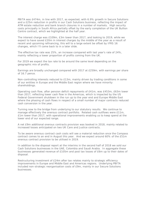PBITA was £474m, in line with 2017, as expected, with 6.9% growth in Secure Solutions and a £25m reduction in profits in our Cash Solutions business, reflecting the impact of ATM estate reduction and bank branch closures in a number of markets. High security costs principally in South Africa partially offset by the early completion of the UK Bullion Centre contract, which we highlighted at the half year.

The interest charge was £109m, £3m lower than 2017, and looking to 2019, while we expect to have saved £20m in interest charges by the middle of the year as a result of recent and upcoming refinancing, this will to a large extent be offset by IFRS 16 changes, which I'll come back to in a later slide.

The effective tax rate was 25%, an increase compared with last year's rate of 24%, mainly reflecting a lower proportion of profits coming from the UK.

For 2019 we expect the tax rate to be around the same level depending on the geographic mix of profits.

Earnings are broadly unchanged compared with 2017 at £259m, with earnings per share of 16.7 pence.

Non-controlling interests reduced to £13m, mainly driven by trading conditions in some of our entities in Europe and the Middle East region where we have minority shareholdings.

Operating cash flow, after pension deficit repayments of £41m, was £453m, £63m lower than 2017, reflecting lower cash flow in the Americas, which is impacted by the US Federal Government shutdown in the run up to the year end and Europe Middle East where the phasing of cash flows in respect of a small number of major contracts reduced cash conversion in the year.

Turning now to the bridge from underlying to our statutory results. We continue to manage effectively the onerous contract portfolio. Related cash outflows were £11m, £1m lower than 2017, with operational improvements enabling us to keep spend at the lower end of our expected range.

A net £9m additional onerous contracts provision was booked in 2018, mainly related to increased losses anticipated on two UK Care and Justice contracts.

To be aware onerous contract cash costs will see a material reduction once the Compass contract comes to an end in August this year. And we expect around 60% of the £51m onerous contract provision to be utilised in 2019.

In addition to the disposal report at the interims in the second half of 2018 we sold our Cash Solutions businesses in the UAE, Colombia and Saudi Arabia. In aggregate these businesses generated revenue of £105m and post tax losses of £6m up to their dates of disposal.

Restructuring investment of £24m after tax relates mainly to strategic efficiency improvements in Europe and Middle East and Americas regions. Underlying PBITA included non-strategic reorganisation costs of £9m, mainly in our Secure Solutions businesses.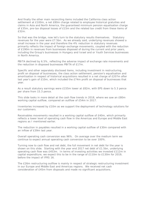And finally the other main reconciling items included the California class action settlement at £100m, a net £80m charge related to employee historical gratuities and claims in Asia and North America, the guaranteed minimum pension equalisation charge of £35m, pre-tax disposal losses of £15m and the related tax credit from these items of £32m.

So that was the bridge, now let's turn to the statutory results themselves. Statutory revenues for the year were £7.5bn. As we already said, underlying revenues showed a small increase in the year and therefore the 4% reduction in statutory revenues primarily reflects the impact of foreign exchange movements, coupled with the reduction of £190m in revenues from businesses disposed of during the current and prior years, including the Group's businesses in Hungary and Israel and or Youth Services businesses in North America.

PBITA declined by 6.5%, reflecting the adverse impact of exchange rate movements and the reduction in disposed businesses PBITA of £17m.

Specific and other separately disclosed items, including investment in restructuring, profit on disposal of businesses, the class action settlement, pension's equalisation and amortisation in respect of historical acquisitions resulted in a net charge of £207m after last year's gain of £10m, which included the £74m profit on disposal of businesses that year.

As a result statutory earnings were £155m lower at £82m, with EPS down to 5.3 pence per share from 15.3 pence.

This slide looks in more detail at the cash flow trends in 2018, where we saw an £80m working capital outflow, compared an outflow of £54m in 2017.

Inventories increased by £10m as we support the deployment of technology solutions for our customers.

Receivables movements resulted in a working capital outflow of £40m, which primarily reflects a lower level of operating cash flow in the Americas and Europe and Middle East regions as I mentioned earlier.

The reduction in payables resulted in a working capital outflow of £30m compared with an inflow of £39m last year.

Overall operating cash conversion was 96%. On average over the medium term we continue to expect annual operating cash conversion to be over 100%.

Turning now to cash flow and net debt, the full movement in net debt for the year is shown on this slide. Starting with the year end 2017 net debt of £1.5bn, underlying operating cash flow was £453m. In terms of investing activities we invested £112m in capital expenditure, we expect this to be in the range of £110m to £130m for 2019, before the impact of IFRS 16.

The £26m restructuring outflow is mainly in respect of strategic restructuring investment in our Europe and Middle East and Americas regions. We received net cash consideration of £45m from disposals and made no significant acquisitions.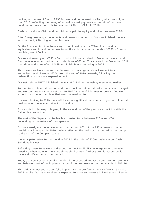Looking at the use of funds of £372m, we paid net interest of £99m, which was higher than 2017, reflecting the timing of annual interest payments on certain of our recent bond issues. We expect this to be around £90m to £95m in 2019.

Cash tax paid was £98m and our dividends paid to equity and minorities were £170m.

After foreign exchange movements and onerous contract outflows we finished the year with net debt, £70m higher than last year.

On the financing front we have very strong liquidity with £672m of cash and cash equivalents and in addition access to unutilised but committed funds of £750m from our revolving credit facility.

Our recent seven year, €550m Eurobond which we launched in December was around four times oversubscribed with an order book of €2bn. This covered our December 2018 maturities and some of our US PP and Public Bonds maturing in 2019.

This means we have now secured interest cost savings which will amount to an annualised level of around £20m from the end of 2019 onwards, following the redemption of our more expensive debt.

Our net debt to EBITDA finished the year at 2.7 times, as Ashley mentioned earlier.

Turning to our financial position and the outlook, our financial policy remains unchanged and we continue to target a net debt to EBITDA ratio of 2.5 times or below. And we expect to continue to achieve that over the medium term.

However, looking to 2019 there will be some significant items impacting on our financial position over the year as set out on the slide.

As we noted in January this year, in the second half of the year we expect to settle the California class action.

The cost of the Separation Review is estimated to be between £25m and £50m depending on the nature of the separation.

As I've already mentioned we expect that around 60% of the £51m onerous contract provision will be spent in 2019, mainly reflecting the cash costs expected in the run up to the exit of the Compass contract.

We anticipate restructuring spend in 2019 in the order of £20m, mainly in our Cash Solutions business.

Reflecting these items we would expect net debt to EBITDA leverage ratio to remain broadly unchanged over the year, although of course, further portfolio actions could have a significant impact on the ratio.

Today's announcement contains details of the expected impact on our income statement and balance sheet of the implementation of the new lease accounting standard IFRS 16.

This slide summarises the portfolio impact - so the pro forma impact of IFRS 16 on the 2018 results. Our balance sheet is expected to show an increase in fixed assets of some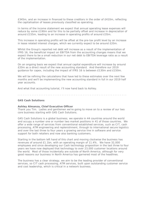£345m, and an increase in financed to these creditors in the order of £410m, reflecting the capitalisation of leases previously classified as operating.

In terms of the income statement we expect that annual operating lease expenses will reduce by some £190m and for this to be partially offset and increase in depreciation of around £155m, leading to an increase in operating profits of around £35m.

This increase in operating profits will be offset at the pre-tax profit level by an increase in lease related interest charges, which we currently expect to be around £20m.

Whilst the Group's reported net debt will increase as a result of the implementation of IFRS 16, the beneficial impact on EBITDA from the accounting changes means that we expect there to be a small reduction in our net debt to EBITDA leverage ratio as a result of the implementation.

On an ongoing basis we expect that annual capital expenditure will increase by around £20m as a direct result of the new accounting standard. And therefore our 2019 guidance for capex, including the impact of IFRS 16 is between £130m and £150m.

We will be refining the calculations that have led to these estimates over the next few months and we'll be implementing the new accounting standard in full in our 2019 half year accounts.

And what that accounting tutorial, I'll now hand back to Ashley.

. . . . . . . . . . . . . . . . . . . . . . . . . . . . . . . . . . . . . . . . . . . . . . . . . . . . . . . . . . . . . .

#### *G4S Cash Solutions*

#### **Ashley Almanza, Chief Executive Officer**

Thank you Tim. Ladies and gentlemen we're going to move on to a review of our two core business starting with G4S Cash Solutions.

G4S Cash Solutions is a global business; we operate in 44 countries around the world and occupy a number one or number two market positions in 41 of those countries. We offer a wide range of services from conventional established services, such as CIT, cash processing, ATM engineering and replenishment, through to international secure logistics and over the last three to four years a growing service line in software and service support for both retailers and now also banking customers.

Starting in the bottom left hand of this chart and moving clockwise the business has revenues of around £1.1bn, with an operating margin of 11.4%. We have 32,000 employees and since developing our Cash technology proposition in the last three to four years we have now deployed that technology to over 23,000 customer locations around the world. Most of those incidentally are outside of North America, although for very good reasons our business in North America has garnered most of the headlines.

The business has a clear strategy, we aim to be the leading provider of conventional services, so CIT cash processing, ATM services, built upon outstanding customer service and cost leadership, which is critical in a network business.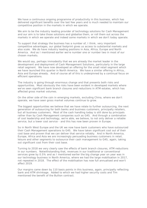We have a continuous ongoing programme of productivity in this business, which has delivered significant benefits over the last few years and is much needed to maintain our competitive position in the markets in which we operate.

We aim to be the industry leading provider of technology solutions for Cash Management and our aim is to take those solutions and globalise them, or roll them out across the markets in which we operate and indeed some markets in which we don't today operate.

To support that strategy the business has a number of, I think, very important competitive advantages, our global footprint gives us access to substantial markets and also scale. We do have industry leading positions in Asia, Africa, Europe and North America. And as I mentioned earlier we're number one or number two in most of our chosen markets.

We would say, perhaps immodestly that we are already the market leader in the development and deployment of Cash Management Solutions, particularly in the large retail segment. We have now developed an offering for the small retail segment which we have launched this quarter in North America. We have a similar offering in Africa,. Asia and Europe already. And of course all of this is underpinned by a continual focus on efficient operations.

The industry is going through enormous change and that presents both risks and opportunities. Most obviously the risks have been evident in developed markets where we've seen significant bank branch closures and reductions in ATM estates, which has affected gross market volumes.

On the other side of the coin in emerging markets, excluding China, where we don't operate, we have seen gross market volumes continue to grow.

The biggest opportunities we believe that we have relate to further outsourcing, the next generation of outsourcing for both banks and business customers, principally retailers, but all business customers. Most of the cash handling today is still done by principals rather than by Cash Management companies such as G4S. And through a combination of cost leadership and technology, we're able, we believe, to not only deliver a reliable service, but a lower cost service - and this has now been proven in Europe.

So in North West Europe and the UK we now have bank customers who have outsourced their Cash Management operations to G4S. We have taken significant cost out of their cost base and proven that we can deliver that service reliably. And in North America, Europe, Africa and Asia we are increasingly persuading business customers in retail, leisure and other segments to outsource their cash management to G4S, again, taking out significant cost from their cost base.

Turning to 2018 we very clearly saw the effects of bank branch closures, ATM reductions in our numbers. Notwithstanding that, revenues in our traditional or conventional services grew by 0.5% and as I mentioned earlier the big change year on year was in our technology business in North America, where we had the large mobilisation in 2017, not repeated in 2018. The effect of the mobilisation has now full annualised and won't affect 2019.

Our margins came down by 110 basis points in this business, again, principally reflecting bank and ATM shrinkage. Added to which we had higher security costs and Tim mentioned the benefit of the Bullion contract.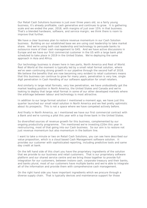Our Retail Cash Solutions business is just over three years old, so a fairly young business, it's already profitable, cash generative and continues to grow. It is gathering scale and we ended the year, 2018, with margins of just over 15% in that business. That's a blended hardware, software, and service margin; we think there is room to improve that further.

We have a clear business plan to restore revenue momentum in our Cash Solution business. Building on our established base we are using cost leadership to take market share. And we're using both cost leadership and technology to persuade banks to outsource more of their cash management to G4S. And we have active discussions in Europe and we have our first commercial customer in the US with a large bank pilot scheduled to take place in 2019 in the United States. We're deploying the same approach in Asia and Africa.

Our technology business is shown here in two parts, North America and Rest of World. Rest of World at the moment is typically led by a small retail format solution, where we've seen continuing strong growth in our pipeline through the second half of 2018. We believe the benefits that are now becoming very evident to retail customers means that this business can continue to grow for many years, penetration is very low, single digit penetration in Cash Handling of our software application for small retailers.

And similarly in large retail formats, very low penetration, we have undoubtedly got the market leading position in North America, the United States and Canada and we're looking to deploy that large retail format in some of our other developed markets where the arbitrage between labour and technology is most attractive.

In addition to our large format solution I mentioned a moment ago, we have just this quarter launched our small retail solution in North America and we feel pretty optimistic about its prospects. This is not a space where we have competed actively before.

And finally in North America, as I mentioned we have our first commercial contract with a Bank and we're running a pilot this year with a top three bank in the United States.

So diversified sources of revenue growth for this business, complemented by our ongoing productivity programme. Tim mentioned we're investing £20m this year in restructuring, most of that going into our Cash business. So our aim is to restore not just revenue momentum but also momentum in the bottom line.

I want to take a minute or two on Retail Cash Solutions, you can see here described our value proposition, which is a cloud based Cash Management software solution. It provides our customer with sophisticated reporting, including predictive tools and same day credit at bank.

On the left hand side of this chart you have the proprietary ingredients of the solution that we provide to our business and retail customers. That is our proprietary software platform and our shared service centre and we bring those together to provide full integration for our customers, between instore cash, corporate treasury and their banks, and banks plural, most of our customers have multiple banks and we're able to integrate all of the information and provide them with comprehensive cash management.

On the right hand side you have important ingredients which we procure through a diverse supply chain. That is typically devices and maintenance support for those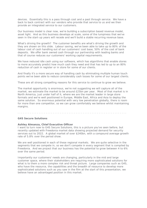devices. Essentially this is a pass through cost and a past through service. We have a back to back contract with our vendors who provide that service to us and we then provide an integrated service to our customers.

Our business model is clear now, we're building a subscription based revenue model, asset light. And as this business develops at scale, some of the lumpiness that we've seen in the start-up years will recede and we'll build a stable recurring revenue base.

What's driving the growth? The customer benefits are what's driving the growth and they are shown on this slide. Labour saving, we've been able to take up to 80% of the labour cost of cash handling out of our customers' cost base, 50% of the cost of bank deposits. We offer bank owned cash through our partnership with leading banks and that of course reduces our customers' working capital requirements.

We have reduced idle cash using our software, which has algorithms that enable stores to more accurately predict how much cash they need and that has led to up to an 80% reduction of cash in register or in store for some of our clients.

And finally it's a more secure way of handling cash by eliminating multiple human touch points we've been able to reduce considerably cash losses for some of our largest clients.

These are all strong compelling reasons for this service to continue to grow we believe.

The market opportunity is enormous, we're not suggesting we will capture all of the market, we estimate the market to be around £25bn per year. Most of that market is in North America, just under half of it, where we are the market leader in large store formats and we're well positioned in Europe, Middle East, Africa and Asia to deploy the same solution. So enormous potential with very low penetration globally, there is room for more than one competitor, so we can grow comfortably we believe whilst maintaining margins.

. . . . . . . . . . . . . . . . . . . . . . . . . . . . . . . . . . . . . . . . . . . . . . . . . . . . . . . . . . . . . .

### *G4S Secure Solutions*

#### **Ashley Almanza, Chief Executive Officer**

I want to turn now to G4S Secure Solutions, this is a picture you've seen before, but recently updated with Freedonia market data showing projected demand for security services out to 2022. A global market of over \$240bn, with a compound average growth rate of 5.8% over the period show.

We are well positioned in each of these regional markets. We are quite selective in the segments that we compete in, so we don't compete in every segment that is compiled by Freedonia. And we project that our business has the potential to grow between 4 to 6% over the same period.

Importantly our customers' needs are changing, particularly in the mid and large customer space, where their stakeholders are requiring more sophisticated solutions for what is to them a more complex risk and threat picture. Large companies such as G4S, who have the resource, the capabilities and the breadth of resource to develop more sophisticated solutions such as you saw in the film at the start of this presentation, we believe have an advantaged position in this market.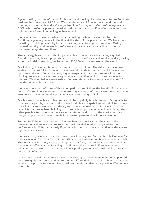Again, starting bottom left hand of this chart and moving clockwise, our Secure Solutions business has revenues of £6.2bn. We operate in over 90 countries around the world, covering six continents and we're organised into four regions. Our profit margins are 6.5%, which reflect a premium market position. And around 45% of our revenues now include some form of technology enhancement.

We have a clear strategy, deliver industry leading, technology enabled Security Solutions, again as you saw in the film at the start of this presentation. We have been investing in building capability in risk consulting, maintaining our premium offering in manned security, and developing software and data analytics capability to offer our customers integrated solutions.

That strategy is supported I think by some clear competitive advantages, a global footprint, a strong brand, proprietary products, both software and service, and a growing expertise in risk consulting, we have over 500,000 employees around the world.

Our industry, like most, faces both risks and opportunities. The risks that have been evident in the last 12 to 24 months have been tight labour markets, which have shown up in several ways, firstly obviously higher wages and that's put pressure into the bidding process and we've seen very intense competition in bids. In some cases too intense. We don't believe sustainable. And we reference frequently over the last 18 months commercial discipline.

We have stayed out of some of those competitions and I think the benefit of that is now being reflected in our margins. And interestingly in some of those cases customers who went away to another service provider are now returning to G4S.

Our business model is also clear and should be hopefully familiar to you. Our goal is to combine our people, our risks, skills, security skills and capabilities with G4S technology. Not all of this technology is proprietary technology, indeed most of it is not. And the capability that we've been building is to hire technologists who know how to integrate other people's technology into our security offering and to go to the market with an integrated position and over time build a trusted partnership with our customers.

Turning to 2018 and the outlook in Secure Solutions, as I said at the start of the presentation I think our Secure Solutions business delivered a pretty satisfactory performance in 2018, particularly if you take into account the competitive landscape and tight labour markets.

We saw strong revenue growth in three of our four regions, Europe, Middle East was flat, Africa was over 6%, Asia 6%, US over 5% and the Americas combined came in at 4.8%. That translates into very strong profit growth in Africa, the Americas and Asia. And we managed to offset stagnant trading conditions on the top line in Europe with cost initiatives and posted a small increase in our profits year on year, maintaining overall a net margin of 6.5%.

As we have turned into 2019 we have maintained good revenue momentum, supported by a strong pipeline. We continue to see our differentiation through technology enabled services, helping us to win and keep business. And that also has a positive effect on our sales mix.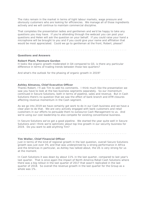The risks remain in the market in terms of tight labour markets, wage pressure and obviously customers who are looking for efficiencies. We manage all of those ingredients actively and we will continue to maintain commercial discipline.

That completes the presentation ladies and gentlemen and we'd be happy to take any questions you may have. If you're attending through the webcast you can post your questions and Helen will ask the question on your behalf. If you could raise your hand a microphone will be brought to you and if you could give your name and affiliation that would be most appreciated. Could we go to gentleman at the front, Robert, please?

. . . . . . . . . . . . . . . . . . . . . . . . . . . . . . . . . . . . . . . . . . . . . . . . . . . . . . . . . . . . . .

#### *Questions and Answers*

#### **Robert Plant, Panmure Gordon**

It looks like organic growth moderated in Q4 compared to Q3, is there any particular difference in terms of trading trends between those two quarters?

. . . . . . . . . . . . . . . . . . . . . . . . . . . . . . . . . . . . . . . . . . . . . . . . . . . . . . . . . . . . . .

And what's the outlook for the phasing of organic growth in 2019?

#### **Ashley Almanza, Chief Executive Officer**

Thanks Robert, I'll ask Tim to add his comments. I think much like the presentation we saw you have to look at the two business segments separately. So our momentum continued in Secure Solutions, both in terms of pipeline, sales and revenue. But in Cash Solutions there's no question that we saw the effect of bank branch and ATM closures affecting revenue momentum in the Cash segment.

As we go into 2019 we have certainly got work to do in our Cash business and we have a clear plan to do that. We are very actively engaged with bank customers and retail customers in our efforts to persuade them to outsource Cash Management to us. And we're using our cost leadership to also compete for existing conventional business.

In Secure Solutions we've got a good pipeline. We started the year quite well in Secure Solutions and I think we're optimistic about top line growth in our security business for 2019. Do you want to add anything Tim?

. . . . . . . . . . . . . . . . . . . . . . . . . . . . . . . . . . . . . . . . . . . . . . . . . . . . . . . . . . . . . .

#### **Tim Weller, Chief Financial Officer**

Just in terms of the kind of regional growth in the last question, overall Secure Solutions growth was just over 3% and that was underpinned by a strong performance in Africa and the Americas in particular, as Ashley has talked about, the US is very strong for us at the moment.

In Cash Solutions it was down by about 11% in the last quarter, compared to last year's last quarter. That is once again the impact of North America Retail Cash Solutions where there was a big rollout in the last quarter of 2017 that wasn't replicated in the last quarter of 2018. So overall the revenue growth in the last quarter for the Group as a whole was 1%.

. . . . . . . . . . . . . . . . . . . . . . . . . . . . . . . . . . . . . . . . . . . . . . . . . . . . . . . . . . . . . .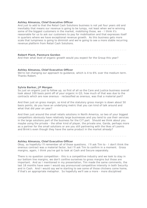#### **Ashley Almanza, Chief Executive Officer**

And just to add to that the Retail Cash Solutions business is not yet four years old and inevitably that means our revenue is going to be lumpy, not least when we're winning some of the biggest customers in the market, mobilising those, we - I think it's reasonable for us to ask our customers to pay for mobilisation and that expresses itself in quarters where we have exceptional revenue growth. As this business gets more scale that lumpiness is going to diminish and we're going to see a more stable recurring revenue platform from Retail Cash Solutions.

. . . . . . . . . . . . . . . . . . . . . . . . . . . . . . . . . . . . . . . . . . . . . . . . . . . . . . . . . . . . . .

#### **Robert Plant, Panmure Gordon**

And then what level of organic growth would you expect for the Group this year?

**Ashley Almanza, Chief Executive Officer** We're not changing our approach to guidance, which is 4 to 6% over the medium term. Thanks Robert.

. . . . . . . . . . . . . . . . . . . . . . . . . . . . . . . . . . . . . . . . . . . . . . . . . . . . . . . . . . . . . .

. . . . . . . . . . . . . . . . . . . . . . . . . . . . . . . . . . . . . . . . . . . . . . . . . . . . . . . . . . . . . .

#### **Sylvia Barker, JP Morgan**

So just on organic just to follow up, so first of all so the Care and Justice business overall took about 100 basis point off of your organic in Q3, how much of that was due to the contracts which are now onerous - reclassified as onerous, was that a material part?

And then just on gross margin, so kind of the statutory gross margin is down about 50 basis points, do you have an underlying metric that you can kind of talk around and what that did year on year?

And then just around the small retails solutions in North America, so two of your biggest competitors obviously have relatively large businesses and you tend to use their services in the large solutions part of the business for the CIT part. Should we think about you maybe using the private - the other kind of player, the private one, Garda, perhaps more as a partner for the small solutions or are you still partnering with the likes of Loomis and Brink's even though they have the same product in the market already?

. . . . . . . . . . . . . . . . . . . . . . . . . . . . . . . . . . . . . . . . . . . . . . . . . . . . . . . . . . . . . .

#### **Ashley Almanza, Chief Executive Officer**

Okay, so hopefully I'll remember all of those questions. I'll ask Tim to - I don't think the onerous contract was a material factor, but I'll ask Tim to confirm in a moment. Gross margins, again, I think you've got to look at Cash and Secure separately.

There is no question competition - this is a competitive industry and we look to stay in our bottom line margins, we don't confine ourselves to gross margins but those are important. And as I mentioned in my presentation, Tim made the same comments, the last 18 months have seen I would say pronounced competitive intensity in both Security and in Cash. And I would say we're starting to see some of those chickens come home, if that's an appropriate metaphor. So hopefully we'll see a more - more disciplined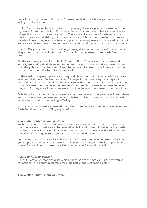behaviour in the market. But we can't guarantee that, there is always somebody who is willing to take the risk.

I think for us it's simple, the market is big enough, there are plenty of customers, the big lesson for us over the last 18 months, 24 months has been to have the confidence to pursue the premium market segments. There are still customers for whom service, quality of service, reliability, brand, reputation, all of those things matter. And so we invested in reshaping our sales teams to pursue those segments and invested in product and service development to serve those segments. And I expect that trend to continue.

I can't offer you an easy metric, we've got many dials on our dashboard, there's not a single metric that I could offer you. Our goal is to grow earnings and cash flow, bottom line.

On the suppliers, as we like to think of them in North America with whom we work, actually we work with all three and sometimes we work more with the private supplier than the public companies, very often. So perhaps I'll correct myself, we work with two of the three, one we're less likely to work with.

In the small box space there are also regional players in North America, with whom we work and that has so far been a successful recipe for us. We're aggregating a lot of demand in that market. And so I think you know the question is - for the CIT operators is do they want the volume in their network? And so far the answer appears to be yes they do. So they are all - with one exception they have all been keen to partner with us.

Outside of North America of course we use our own network where we have it and where we don't we follow the same recipe, which is back to back contracts on both cost and service to support our technology offering.

So I'm not sure if I really answered that question so feel free to come back on that Retail Cash Solutions questions. Tim, anything?

#### . . . . . . . . . . . . . . . . . . . . . . . . . . . . . . . . . . . . . . . . . . . . . . . . . . . . . . . . . . . . . .

#### **Tim Weller, Chief Financial Officer**

Yeah, on the onerous contracts, where a contract becomes onerous we actually restate the comparators to make sure that everything is like with like. So the organic growth numbers I was talking about in answer to Rob's questions those actually adjust out for the effect of moving onerous contracts to and from underlying.

For the Secure Solutions as a whole across the full year the revenue growth of 3%, if you strip Care and Justice out it would still be 3%, so it doesn't actually impact on the overall Secure Solutions growth - what is going on in Care and Justice?

. . . . . . . . . . . . . . . . . . . . . . . . . . . . . . . . . . . . . . . . . . . . . . . . . . . . . . . . . . . . . .

#### **Sylvia Barker, JP Morgan**

So in Q3, obviously that was quite a big impact, so are the two contracts that you've reclassified - were they accounting for a big part of the 100 basis points?

. . . . . . . . . . . . . . . . . . . . . . . . . . . . . . . . . . . . . . . . . . . . . . . . . . . . . . . . . . . . . .

**Tim Weller, Chief Financial Officer**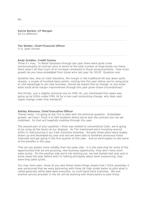#### No.

#### . . . . . . . . . . . . . . . . . . . . . . . . . . . . . . . . . . . . . . . . . . . . . . . . . . . . . . . . . . . . . .

. . . . . . . . . . . . . . . . . . . . . . . . . . . . . . . . . . . . . . . . . . . . . . . . . . . . . . . . . . . . . .

**Sylvia Barker, JP Morgan** So it's different.

**Tim Weller, Chief Financial Officer** It is, yeah correct.

#### **Andy Grobler, Credit Suisse**

Three if I may. In Retail Solutions through last year there were quite a few announcements of contract wins in terms of the total number of large boxes out there, there wasn't all that much of an increase compared to those announcements. How much growth do you have embedded from those wins last year for 2019? Question one.

. . . . . . . . . . . . . . . . . . . . . . . . . . . . . . . . . . . . . . . . . . . . . . . . . . . . . . . . . . . . . .

Question two, also on Cash Solutions, the margin in the traditional bit was down quite sharply, a couple of hundred basis points, coming into this year where you're using price or cost advantage to win new business, should we expect that to change, or you know what could drive margin improvement through this year given those circumstances?

And thirdly, just a slightly technical one on IFRS 16, you mentioned that capex was going up by £20m under IFRS 16 for a non-cash accounting change, why does cash capex change under that standard?

## **Ashley Almanza, Chief Executive Officer**

Thanks Andy, I'm going to ask Tim to deal with the technical question. Embedded growth, we have I think 4 to 500 locations where we've won the contract but not yet mobilised. So that will hopefully mobilise through this year.

. . . . . . . . . . . . . . . . . . . . . . . . . . . . . . . . . . . . . . . . . . . . . . . . . . . . . . . . . . . . . .

The second part of your question I think was related to conventional Cash, we're going to be using all the levers at our disposal. As Tim mentioned we're investing around £20m in restructuring in our Cash Solutions business. Actually those plans were largely drawn up and developed by year end and we were able to therefore announce those internally and get going in the first quarter of this year. And so we'd expect to see some of the benefits in this year.

That we can predict more reliably than the sales side. It is the case that for some of the opportunities that we are pursuing, new business opportunity, they don't have short sales cycles. On the positive side we're not starting out, we had started last year and in some cases the year before and I'm talking principally about bank outsourcing, they have long sales cycles.

You may have seen, those of you who follow these things closely that I think yesterday it was announced that we were partnering with three UK high street banks to pilot what is called generally white label bank branches, so multi-bank bank branches. We and another service provider in the UK will be working with those banks to pilot those.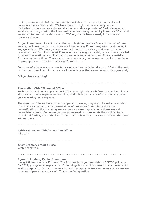I think, as we've said before, the trend is inevitable in the industry that banks will outsource more of this work. We have been through the cycle already in the Netherlands where we are substantially the only private provider of Cash Management services, handling most of the bank cash volumes through an entity known as GSN. And we expect to see that model develop. We've got a UK bank already for whom we process volumes.

So you know timing, I can't predict that at this stage. Are we firmly in the game? Yes we are, we know that our customers are investing significant time, effort, and money to engage with us. We have got a proven track record, so we've got strong customer references now from North West Europe and we have got a model, which is very detailed in terms of operational and financial - operational requirements and financial metrics. So it's a matter of time. There cannot be a reason, a good reason for banks to continue to pass up the opportunity to take significant cost out.

For those of who have come over to us we have been able to take up to 20% of the cost of their cash handling. So those are all the initiatives that we're pursuing this year Andy.

Did you have anything?

#### **Tim Weller, Chief Financial Officer**

Yeah, on the additional capex in IFRS 16, you're right, the cash flows themselves clearly all operate in lease expense as cash flow, and this is just a case of how you categorise your operating lease expense.

. . . . . . . . . . . . . . . . . . . . . . . . . . . . . . . . . . . . . . . . . . . . . . . . . . . . . . . . . . . . . .

The asset portfolio we have under the operating leases, they are quite old assets, which is why you end up with an incremental benefit to PBITA from this because the reclassification of the operating lease expense versus depreciation - these are well depreciated assets. But as we go through renewal of those assets they will fall to be capitalised further, hence the increasing balance sheet capex of £20m between this year and next year.

. . . . . . . . . . . . . . . . . . . . . . . . . . . . . . . . . . . . . . . . . . . . . . . . . . . . . . . . . . . . . .

#### **Ashley Almanza, Chief Executive Officer** All clear?

. . . . . . . . . . . . . . . . . . . . . . . . . . . . . . . . . . . . . . . . . . . . . . . . . . . . . . . . . . . . . .

#### **Andy Grobler, Credit Suisse**

Yeah, thank you.

. . . . . . . . . . . . . . . . . . . . . . . . . . . . . . . . . . . . . . . . . . . . . . . . . . . . . . . . . . . . . .

#### **Aymeric Poulain, Kepler Cheuvreux**

I've got three questions if I may. The first one is on your net debt to EBITDA guidance for 2019, you gave an explanation of the bridge but you didn't mention any movement in working capital, so is that movement in working capital in 2018 set to stay where we are in terms of percentage of sales? That's the first question.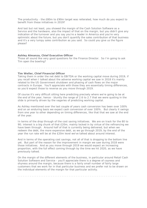The productivity - the £80m to £90m target was reiterated, how much do you expect to benefit from these initiatives in 2019?

And last but not least, you showed the margin of the Cash Solution Software as a Service and the hardware, also the impact of that on the margin, but you didn't give any indication of the turnover and you say you're a leader in America and you're very optimistic about the future, but you don't quantify the sales contribution of that business and it's a very lumpy sales contribution as you said. So could you give us the figure please?

#### . . . . . . . . . . . . . . . . . . . . . . . . . . . . . . . . . . . . . . . . . . . . . . . . . . . . . . . . . . . . . .

#### **Ashley Almanza, Chief Executive Officer**

Those all sound like very good questions for the Finance Director. So I'm going to ask Tim open the bowling?

. . . . . . . . . . . . . . . . . . . . . . . . . . . . . . . . . . . . . . . . . . . . . . . . . . . . . . . . . . . . . .

#### **Tim Weller, Chief Financial Officer**

Taking them in order the net debt to EBITDA or the working capital move during 2019, if you recall when I talked about the adverse working capital we saw in 2018 it's mainly related to the US Government shutdown and phasing of cash flows on the major contracts in Europe. You'll appreciate with those they are essentially timing differences, so you'd expect those to reverse as you move through 2019.

Of course it's very difficult sitting here predicting precisely where we're going to be at the end of the year, hence - bluntly the range of 2.6 to 2.7 that we were quoting in the slide is primarily driven by the vagaries of predicting working capital.

As Ashley mentioned over the last couple of years cash conversion has been over 100% and on an enduring basis we expect cash conversion of over 100%. But clearly it swings from one year to other depending on timing differences, like that that we saw at the end of the year.

In terms of the drop through of the cost saving initiatives. We are on track for the 80 to 90; interest is a big chunk of that £20m, mainly locked in by virtue of the refinancing we have been through. Around half of that is currently being delivered, but when we redeem the debt, the more expensive debt, as we go through 2019, by the end of the year the run rate will be at the £20m level we've talked about around interest.

And in terms of the operating cost savings, not all of that is dropping to the bottom line yet. But part of the reason for the improvement in margin we saw during 2018 were those initiatives. And as you move through 2019 we would expect an increasing proportion, with the full effect coming through by the time we hit 2020, as we have previously talked.

On the margin of the different elements of the business, in particular around Retail Cash Solution Software and Service - you'll appreciate there is a degree of coyness and shyness around the margin, because there is a fairly small number of fairly large customers that we work for in that particular business and we prefer not to be drawn on the individual elements of the margin for that particular activity.

. . . . . . . . . . . . . . . . . . . . . . . . . . . . . . . . . . . . . . . . . . . . . . . . . . . . . . . . . . . . . .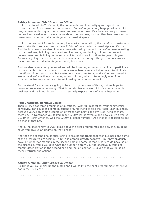#### **Ashley Almanza, Chief Executive Officer**

I think just to add to Tim's point; the commercial confidentiality goes beyond the concentration of customers at the moment. But we've got a very large pipeline of pilot programmes underway at the moment and we do for now, it's a balance really - I mean on one hand we'd love to reveal more about the business, on the other hand we want to preserve our commercial advantage in that market space.

I think the key point for us is the very low market penetration; the benefits to customers are substantial. You can see we have £100m of revenue in that marketplace, it's tiny. And the lumpiness has also of course been affected by the fact that we've been investing in that business, building the shared service centre, continuing to invest in product development and building our sales capability, which we'll continue to grow this year. So we are going to add cost in that business which is the right thing to do because we have the commercial advantage in the big box space.

And we also have already invested and will be investing more in our ability to participate in the small box format, where up to now we've been almost - I don't want to diminish the efforts of our team there, but customers have come to us, and we've now turned it around and we're actively marketing a new solution, which interestingly one of our competitors has expressed an interest in using our solution as well.

So I'm afraid for now we are going to be a bit coy on some of those, but we hope to reveal more as we move along. That is our aim because we think it's a very valuable business and it's in our interest to progressively expose more of what's happening.

. . . . . . . . . . . . . . . . . . . . . . . . . . . . . . . . . . . . . . . . . . . . . . . . . . . . . . . . . . . . . .

#### **Paul Checketts, Barclays Capital**

Thanks. I've got three groupings of questions. With full respect for your commercial sensitivity, can I just ask some questions around trying to size the Retail Cash business, because you've given us a couple of different data points and I'm just trying to marry them up. In December you talked about £200m ish of revenue and now you've given us £104m in North America, was the £200m a global number? And if so is it possible to get a sense of that now?

And in the past Ashley you've talked about the pilot programmes and how they're going, could you give us an update on that please?

And then the second line of questioning is around the traditional cash business and some of the pressure you're seeing. In Q4 was organic growth negative Tim, Andy obviously gave a number for margins in the second half and some of that is hard to do because of the disposals, would you give what the number is from your perspective in terms of margin deterioration in the second half and the outlook for '19 given that you're doing these restructuring actions?

#### . . . . . . . . . . . . . . . . . . . . . . . . . . . . . . . . . . . . . . . . . . . . . . . . . . . . . . . . . . . . . .

#### **Ashley Almanza, Chief Executive Officer**

So Tim if you could pick up the maths and I will talk to the pilot programmes that we've got in the US please.

. . . . . . . . . . . . . . . . . . . . . . . . . . . . . . . . . . . . . . . . . . . . . . . . . . . . . . . . . . . . . .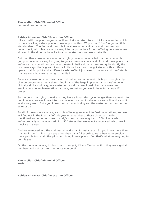### **Tim Weller, Chief Financial Officer**

Let me do some maths.

#### . . . . . . . . . . . . . . . . . . . . . . . . . . . . . . . . . . . . . . . . . . . . . . . . . . . . . . . . . . . . . .

#### **Ashley Almanza, Chief Executive Officer**

I'll start with the pilot programmes then. Let me return to a point I made earlier which is there is a long sales cycle for these opportunities. Why is that? You've got multiple stakeholders. The first and most obvious stakeholder is finance and the treasury department, who clearly are in a way internal promoters for our offering because as we showed in the slide the benefits to a corporate treasurer are substantial.

But the other stakeholders who quite rightly have to be satisfied that our solution is going to do what we say it's going to go is store operations and IT. And those pilots that we've started sometimes can be successful in half a dozen stores and quite rightly the customer says, that's great, it works in those locations, I've got stores with a different operational footprint and a different cash profile, I just want to be sure and comfortable that we know how we're going to handle it.

Because remember what they have to do when we implement this is go through a big change programme themselves. And in all of the large implementations we've done, virtually all, I should say, our customer has either employed directly or asked us to employ outside implementation partners, so just as you would have for a large IT project.

So the point I'm trying to make is they have a long sales cycle, longer then we want it to be of course, we would want to - we believe - we don't believe, we know it works and it works very well. But - you know the customer is king and the customer decides on the sales cycle.

So all of those pilots are live, a couple of have gone now into final negotiations, and we will find out in the first half of this year on a number of those big opportunities. I mentioned earlier in response to Andy's question, we've got 4 to 500 of wins which we've probably not announced, 4 to 500 stores that we've not announced, which we'll mobilise this year.

And we've moved into the mid market and small format space. So you know more than that Paul I don't think I can say other than it's a full pipeline, we're having to employ more people to sustain the pilots and bring in new pilots. And that's what we're going to do this year.

On the global numbers, I think it must be right, I'll ask Tim to confirm they were global numbers and not just North America numbers?

. . . . . . . . . . . . . . . . . . . . . . . . . . . . . . . . . . . . . . . . . . . . . . . . . . . . . . . . . . . . . .

**Tim Weller, Chief Financial Officer** Yeah.

. . . . . . . . . . . . . . . . . . . . . . . . . . . . . . . . . . . . . . . . . . . . . . . . . . . . . . . . . . . . . .

**Ashley Almanza, Chief Executive Officer**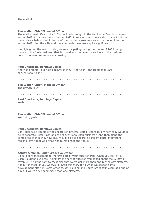#### The maths?

#### **Tim Weller, Chief Financial Officer**

The maths, yeah it's about a 1.5% decline in margin in the traditional Cash businesses second half of this year versus second half of last year. And we've kind of spelt out the main drivers behind that in terms of the cost increases we saw as we moved into the second half. And the ATM and the volume declines were quite significant.

. . . . . . . . . . . . . . . . . . . . . . . . . . . . . . . . . . . . . . . . . . . . . . . . . . . . . . . . . . . . . .

We highlighted the restructuring we're anticipating during the course of 2019 being mainly in the Cash business, that is to address the capacity we have in the business versus the volumes we are now seeing.

. . . . . . . . . . . . . . . . . . . . . . . . . . . . . . . . . . . . . . . . . . . . . . . . . . . . . . . . . . . . . .

#### **Paul Checketts, Barclays Capital**

And was organic - did it go backwards in Q4, the Cash - the traditional Cash, conventional Cash?

. . . . . . . . . . . . . . . . . . . . . . . . . . . . . . . . . . . . . . . . . . . . . . . . . . . . . . . . . . . . . .

#### **Tim Weller, Chief Financial Officer**

The growth in Q4?

. . . . . . . . . . . . . . . . . . . . . . . . . . . . . . . . . . . . . . . . . . . . . . . . . . . . . . . . . . . . . .

# **Paul Checketts, Barclays Capital**

Yeah.

#### . . . . . . . . . . . . . . . . . . . . . . . . . . . . . . . . . . . . . . . . . . . . . . . . . . . . . . . . . . . . . .

# **Tim Weller, Chief Financial Officer**

Yes it did, yeah.

#### . . . . . . . . . . . . . . . . . . . . . . . . . . . . . . . . . . . . . . . . . . . . . . . . . . . . . . . . . . . . . .

#### **Paul Checketts, Barclays Capital**

Can I just ask a couple of the separation process, sort of conceptually how easy would it be to separate Retail Cash and the conventional cash business? And then along the same lines of thinking, how easy would it be to separate different parts of different regions, say if that was what was to maximise the value?

. . . . . . . . . . . . . . . . . . . . . . . . . . . . . . . . . . . . . . . . . . . . . . . . . . . . . . . . . . . . . .

#### **Ashley Almanza, Chief Executive Officer**

So as a sort of preamble to the first part of your question Paul, when you look at our Cash Solutions business I think it's the sort of question you asked about the £200m of revenue. It's important to recognise that we've got more than one technology platform. Again, for those of you who've followed this story for a while we seeded some development effort in North America, UK, Holland and South Africa four years ago and as a result we've developed more than one platform.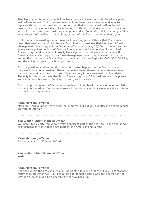That has some interesting possibilities because our business in North America is pretty well self-contained. Of course we draw on it, we take their successes and seek to replicate those in other markets, but other than that it's pretty well self-contained in terms of its management team, its systems, its offering. And as you know it operates without trucks, vaults and cash processing networks. So in principle it is already a fairly separate part of the Group, it's an integral part of the Group, but separable I guess.

I think what's interesting - what presents interesting possibilities is that if you went down that road you would still have a Cash Solutions business that has a lot of Cash Management technology in it, in fact most of our customers, 23,000 customer locations where we've got some form of Cash technology deployed are outside of the United States today. And so you could easily have a proposition where you had a pure North American Retail Cash - you know Cash Management technology business on one hand and on the other hand a Global Cash business with its own Deposita, CASH360, G4S Pay and the ability to grow its technology offering.

As to regional separation, in principle most of what happens in the Cash business happens in a national market. There is a central bank, there's national regulation and national network and infrastructure. We move very little across national boundaries. The only business that does that is our Secure Logistics, G4SI business which is purely an international business. But it too is pretty self-contained.

And so in principle each of those countries is a building block that could be assembled into any permutation. And as we assess all the strategic options we've got the ability to look at it that way as well.

. . . . . . . . . . . . . . . . . . . . . . . . . . . . . . . . . . . . . . . . . . . . . . . . . . . . . . . . . . . . . .

#### **Kean Marden, Jefferies**

Morning. Forgive me if I've missed the numbers, but did you quantify the timing impact on working capital?

. . . . . . . . . . . . . . . . . . . . . . . . . . . . . . . . . . . . . . . . . . . . . . . . . . . . . . . . . . . . . .

#### **Tim Weller, Chief Financial Officer**

We didn't, but clearly you know a very significant part of the short fall in the operating cash generation was in those two regions, the Americas and Europe?

. . . . . . . . . . . . . . . . . . . . . . . . . . . . . . . . . . . . . . . . . . . . . . . . . . . . . . . . . . . . . .

#### **Kean Marden, Jefferies**

So probably about £30m or £40m?

. . . . . . . . . . . . . . . . . . . . . . . . . . . . . . . . . . . . . . . . . . . . . . . . . . . . . . . . . . . . . .

#### **Tim Weller, Chief Financial Officer** Yeah.

. . . . . . . . . . . . . . . . . . . . . . . . . . . . . . . . . . . . . . . . . . . . . . . . . . . . . . . . . . . . . .

#### **Kean Marden, Jefferies**

And then within the divisional, would I be right in thinking that the Middle East probably returned to growth in Q3, Q4? I think its operational gearing was quite potent on the way down, so should it be as potent on the way back up?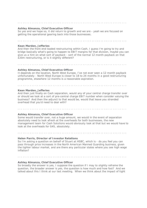#### **Ashley Almanza, Chief Executive Officer**

So yes and we hope so, it did return to growth and we are - yeah we are focused on getting the operational gearing back into those businesses.

. . . . . . . . . . . . . . . . . . . . . . . . . . . . . . . . . . . . . . . . . . . . . . . . . . . . . . . . . . . . . .

. . . . . . . . . . . . . . . . . . . . . . . . . . . . . . . . . . . . . . . . . . . . . . . . . . . . . . . . . . . . . .

#### **Kean Marden, Jefferies**

And then the front end loaded restructuring within Cash, I guess I'm going to try and bridge basically what's going to happen to EBIT margins for that division, maybe you can give us a hint on what sort of payback - sort of the normal 12 month payback on that £20m restructuring, or is it slightly different?

. . . . . . . . . . . . . . . . . . . . . . . . . . . . . . . . . . . . . . . . . . . . . . . . . . . . . . . . . . . . . .

#### **Ashley Almanza, Chief Executive Officer**

It depends on the location, North West Europe, I've not ever seen a 12 month payback unfortunately - North West Europe is closer to 18 to 24 months in a good restructuring programme, elsewhere 12 months is a reasonable aspiration.

. . . . . . . . . . . . . . . . . . . . . . . . . . . . . . . . . . . . . . . . . . . . . . . . . . . . . . . . . . . . . .

#### **Kean Marden, Jefferies**

And then just finally on Cash separation, would any of your central charge transfer over or should we look at a sort of pre-central charge EBIT number when consider valuing the business? And then the adjunct to that would be, would that leave you stranded overhead that you'd need to deal with?

. . . . . . . . . . . . . . . . . . . . . . . . . . . . . . . . . . . . . . . . . . . . . . . . . . . . . . . . . . . . . .

#### **Ashley Almanza, Chief Executive Officer**

Some would transfer over, not a huge amount, we would in the event of separation absolutely need to look afresh at the overheads for both businesses, the new management team for Cash Solutions would obviously look at that but we would have to look at the overheads for G4S, absolutely.

#### **Helen Parris, Director of Investor Relations**

So I'm asking a question on behalf of Stuart at HSBC, which is - do you feel you can pass through price increases in the North American Manned Guarding business, given the tighter labour market, and are there any particular states where you see high wage inflation?

. . . . . . . . . . . . . . . . . . . . . . . . . . . . . . . . . . . . . . . . . . . . . . . . . . . . . . . . . . . . . .

. . . . . . . . . . . . . . . . . . . . . . . . . . . . . . . . . . . . . . . . . . . . . . . . . . . . . . . . . . . . . .

#### **Ashley Almanza, Chief Executive Officer**

So broadly the answer is yes, I suppose the question if I may to slightly reframe the question, the broader answer is yes, the question is how much and how fast? And we talked about this I think at our last meeting. When we think about the impact of tight